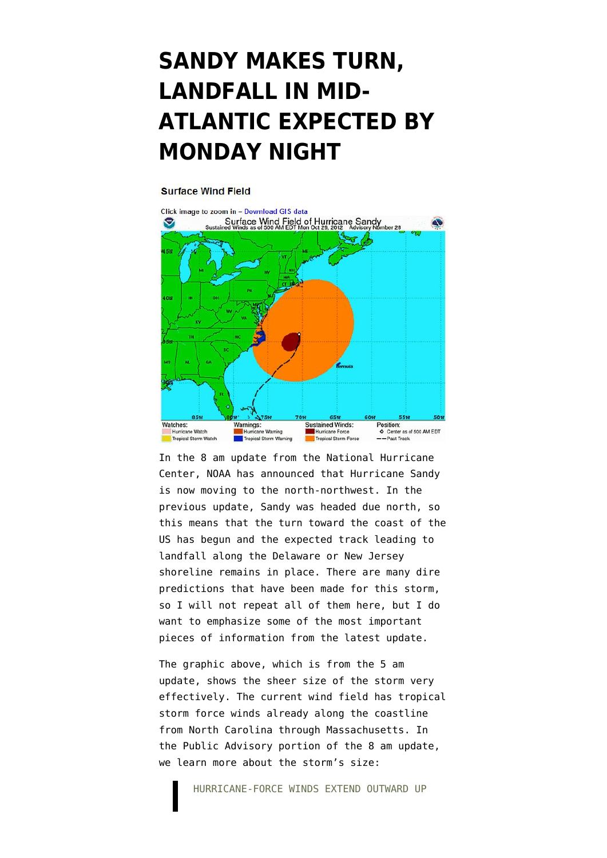## **[SANDY MAKES TURN,](https://www.emptywheel.net/2012/10/29/sandy-makes-turn-landfall-in-mid-atlantic-expected-by-monday-night/) [LANDFALL IN MID-](https://www.emptywheel.net/2012/10/29/sandy-makes-turn-landfall-in-mid-atlantic-expected-by-monday-night/)[ATLANTIC EXPECTED BY](https://www.emptywheel.net/2012/10/29/sandy-makes-turn-landfall-in-mid-atlantic-expected-by-monday-night/) [MONDAY NIGHT](https://www.emptywheel.net/2012/10/29/sandy-makes-turn-landfall-in-mid-atlantic-expected-by-monday-night/)**

## **Surface Wind Field**



In the 8 am update from the National Hurricane Center, NOAA has announced that Hurricane Sandy is now moving to the north-northwest. In the previous update, Sandy was headed due north, so this means that the turn toward the coast of the US has begun and the [expected track leading to](http://www.nhc.noaa.gov/graphics_at3.shtml?5-daynl?large#contents) [landfall along the Delaware or New Jersey](http://www.nhc.noaa.gov/graphics_at3.shtml?5-daynl?large#contents) [shoreline](http://www.nhc.noaa.gov/graphics_at3.shtml?5-daynl?large#contents) remains in place. There are many dire predictions that have been made for this storm, so I will not repeat all of them here, but I do want to emphasize some of the most important pieces of information from the latest update.

The [graphic above,](http://www.nhc.noaa.gov/refresh/graphics_at3+shtml/092341.shtml?radii#contents) which is from the 5 am update, shows the sheer size of the storm very effectively. The current wind field has tropical storm force winds already along the coastline from North Carolina through Massachusetts. In the [Public Advisory portion of the 8 am update,](http://www.nhc.noaa.gov/text/refresh/MIATCPAT3+shtml/291149.shtml?) we learn more about the storm's size: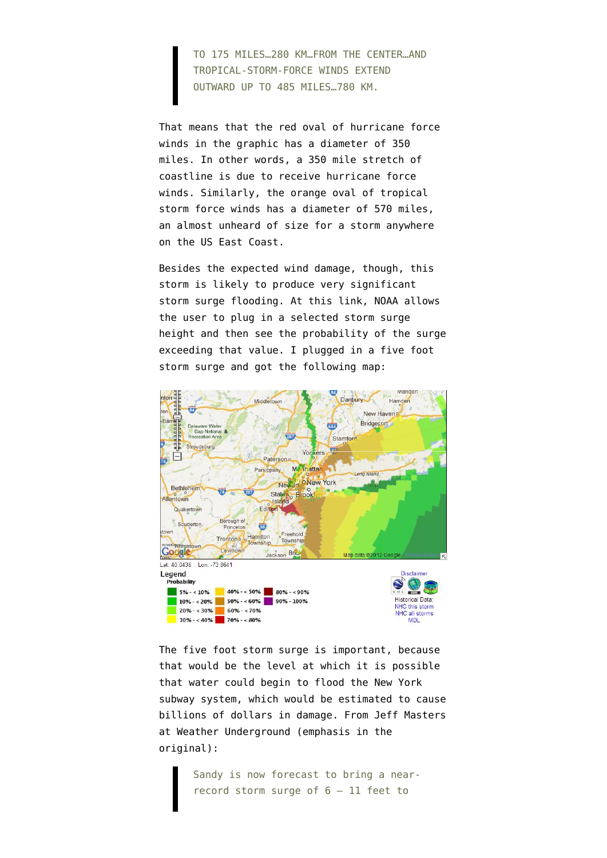TO 175 MILES…280 KM…FROM THE CENTER…AND TROPICAL-STORM-FORCE WINDS EXTEND OUTWARD UP TO 485 MILES…780 KM.

That means that the red oval of hurricane force winds in the graphic has a diameter of 350 miles. In other words, a 350 mile stretch of coastline is due to receive hurricane force winds. Similarly, the orange oval of tropical storm force winds has a diameter of 570 miles, an almost unheard of size for a storm anywhere on the US East Coast.

Besides the expected wind damage, though, this storm is likely to produce very significant storm surge flooding. At [this link](http://www.nhc.noaa.gov/refresh/graphics_at3+shtml/092341.shtml?gm_psurge#contents), NOAA allows the user to plug in a selected storm surge height and then see the probability of the surge exceeding that value. I plugged in a five foot storm surge and got the following map:



The five foot storm surge is important, because that would be the level at which it is possible that water could begin to flood the New York subway system, which would be estimated to cause billions of dollars in damage. From [Jeff Masters](http://www.wunderground.com/blog/JeffMasters/article.html) [at Weather Underground](http://www.wunderground.com/blog/JeffMasters/article.html) (emphasis in the original):

> Sandy is now forecast to bring a nearrecord storm surge of 6 – 11 feet to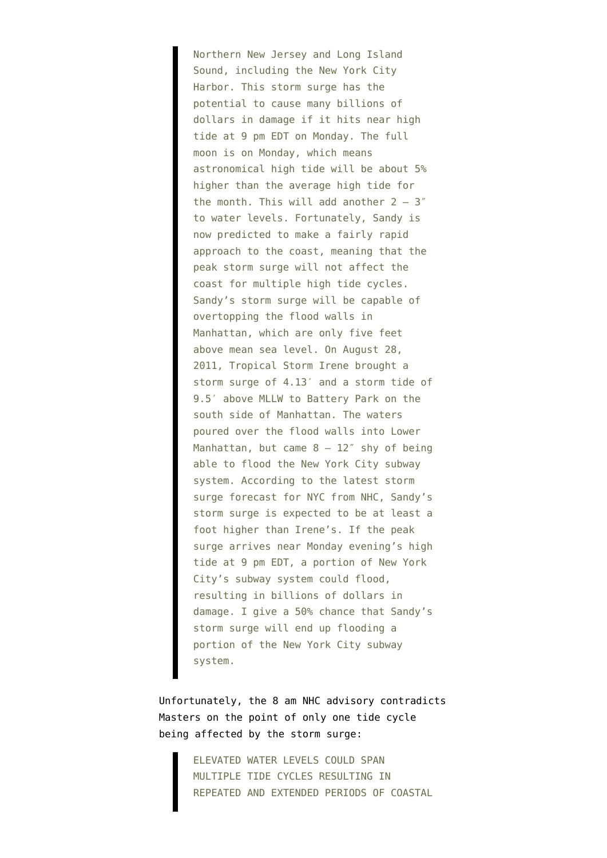Northern New Jersey and Long Island Sound, including the New York City Harbor. This storm surge has the potential to cause many billions of dollars in damage if it hits near high tide at 9 pm EDT on Monday. The full moon is on Monday, which means astronomical high tide will be about 5% higher than the average high tide for the month. This will add another  $2 - 3$ " to water levels. Fortunately, Sandy is now predicted to make a fairly rapid approach to the coast, meaning that the peak storm surge will not affect the coast for multiple high tide cycles. Sandy's storm surge will be capable of overtopping the flood walls in Manhattan, which are only five feet above mean sea level. On August 28, 2011, Tropical Storm Irene brought a storm surge of 4.13′ and a storm tide of 9.5′ above MLLW to Battery Park on the south side of Manhattan. The waters poured over the flood walls into Lower Manhattan, but came  $8 - 12^{\circ}$  shy of being able to flood the New York City subway system. According to the latest storm surge forecast for NYC from NHC, Sandy's storm surge is expected to be at least a foot higher than Irene's. If the peak surge arrives near Monday evening's high tide at 9 pm EDT, a portion of New York City's subway system could flood, resulting in billions of dollars in damage. I give a 50% chance that Sandy's storm surge will end up flooding a portion of the New York City subway system.

Unfortunately, the 8 am NHC advisory contradicts Masters on the point of only one tide cycle being affected by the storm surge:

> ELEVATED WATER LEVELS COULD SPAN MULTIPLE TIDE CYCLES RESULTING IN REPEATED AND EXTENDED PERIODS OF COASTAL